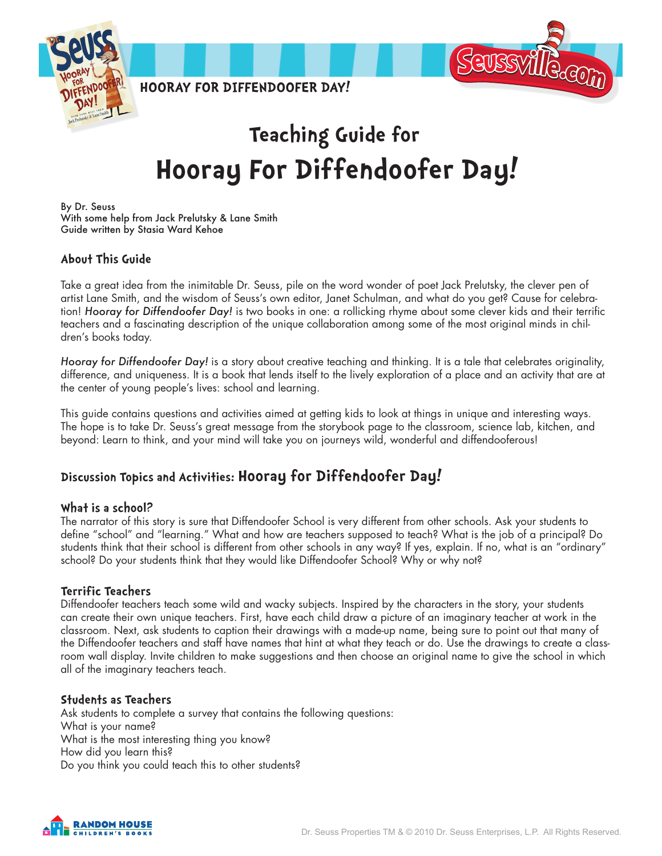

# **Teaching Guide for Hooray For Diffendoofer Day!**

By Dr. Seuss With some help from Jack Prelutsky & Lane Smith Guide written by Stasia Ward Kehoe

#### **About This Guide**

Take a great idea from the inimitable Dr. Seuss, pile on the word wonder of poet Jack Prelutsky, the clever pen of artist Lane Smith, and the wisdom of Seuss's own editor, Janet Schulman, and what do you get? Cause for celebration! *Hooray for Diffendoofer Day!* is two books in one: a rollicking rhyme about some clever kids and their terrific teachers and a fascinating description of the unique collaboration among some of the most original minds in children's books today.

*Hooray for Diffendoofer Day!* is a story about creative teaching and thinking. It is a tale that celebrates originality, difference, and uniqueness. It is a book that lends itself to the lively exploration of a place and an activity that are at the center of young people's lives: school and learning.

This guide contains questions and activities aimed at getting kids to look at things in unique and interesting ways. The hope is to take Dr. Seuss's great message from the storybook page to the classroom, science lab, kitchen, and beyond: Learn to think, and your mind will take you on journeys wild, wonderful and diffendooferous!

### **Discussion Topics and Activities: Hooray for Diffendoofer Day!**

#### **What is a school?**

The narrator of this story is sure that Diffendoofer School is very different from other schools. Ask your students to define "school" and "learning." What and how are teachers supposed to teach? What is the job of a principal? Do students think that their school is different from other schools in any way? If yes, explain. If no, what is an "ordinary" school? Do your students think that they would like Diffendoofer School? Why or why not?

#### **Terrific Teachers**

Diffendoofer teachers teach some wild and wacky subjects. Inspired by the characters in the story, your students can create their own unique teachers. First, have each child draw a picture of an imaginary teacher at work in the classroom. Next, ask students to caption their drawings with a made-up name, being sure to point out that many of the Diffendoofer teachers and staff have names that hint at what they teach or do. Use the drawings to create a classroom wall display. Invite children to make suggestions and then choose an original name to give the school in which all of the imaginary teachers teach.

#### **Students as Teachers**

Ask students to complete a survey that contains the following questions: What is your name? What is the most interesting thing you know? How did you learn this? Do you think you could teach this to other students?

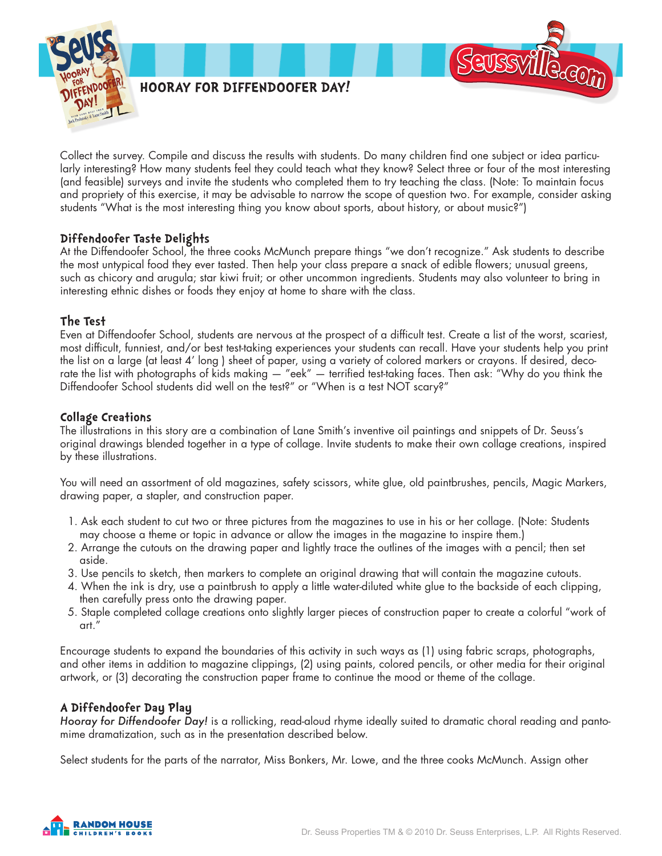

Collect the survey. Compile and discuss the results with students. Do many children find one subject or idea particularly interesting? How many students feel they could teach what they know? Select three or four of the most interesting (and feasible) surveys and invite the students who completed them to try teaching the class. (Note: To maintain focus and propriety of this exercise, it may be advisable to narrow the scope of question two. For example, consider asking students "What is the most interesting thing you know about sports, about history, or about music?")

#### **Diffendoofer Taste Delights**

At the Diffendoofer School, the three cooks McMunch prepare things "we don't recognize." Ask students to describe the most untypical food they ever tasted. Then help your class prepare a snack of edible flowers; unusual greens, such as chicory and arugula; star kiwi fruit; or other uncommon ingredients. Students may also volunteer to bring in interesting ethnic dishes or foods they enjoy at home to share with the class.

#### **The Test**

Even at Diffendoofer School, students are nervous at the prospect of a difficult test. Create a list of the worst, scariest, most difficult, funniest, and/or best test-taking experiences your students can recall. Have your students help you print the list on a large (at least 4' long ) sheet of paper, using a variety of colored markers or crayons. If desired, decorate the list with photographs of kids making — "eek" — terrified test-taking faces. Then ask: "Why do you think the Diffendoofer School students did well on the test?" or "When is a test NOT scary?"

#### **Collage Creations**

The illustrations in this story are a combination of Lane Smith's inventive oil paintings and snippets of Dr. Seuss's original drawings blended together in a type of collage. Invite students to make their own collage creations, inspired by these illustrations.

You will need an assortment of old magazines, safety scissors, white glue, old paintbrushes, pencils, Magic Markers, drawing paper, a stapler, and construction paper.

- 1. Ask each student to cut two or three pictures from the magazines to use in his or her collage. (Note: Students may choose a theme or topic in advance or allow the images in the magazine to inspire them.)
- 2. Arrange the cutouts on the drawing paper and lightly trace the outlines of the images with a pencil; then set aside.
- 3. Use pencils to sketch, then markers to complete an original drawing that will contain the magazine cutouts.
- 4. When the ink is dry, use a paintbrush to apply a little water-diluted white glue to the backside of each clipping, then carefully press onto the drawing paper.
- 5. Staple completed collage creations onto slightly larger pieces of construction paper to create a colorful "work of art."

Encourage students to expand the boundaries of this activity in such ways as (1) using fabric scraps, photographs, and other items in addition to magazine clippings, (2) using paints, colored pencils, or other media for their original artwork, or (3) decorating the construction paper frame to continue the mood or theme of the collage.

#### **A Diffendoofer Day Play**

*Hooray for Diffendoofer Day!* is a rollicking, read-aloud rhyme ideally suited to dramatic choral reading and pantomime dramatization, such as in the presentation described below.

Select students for the parts of the narrator, Miss Bonkers, Mr. Lowe, and the three cooks McMunch. Assign other

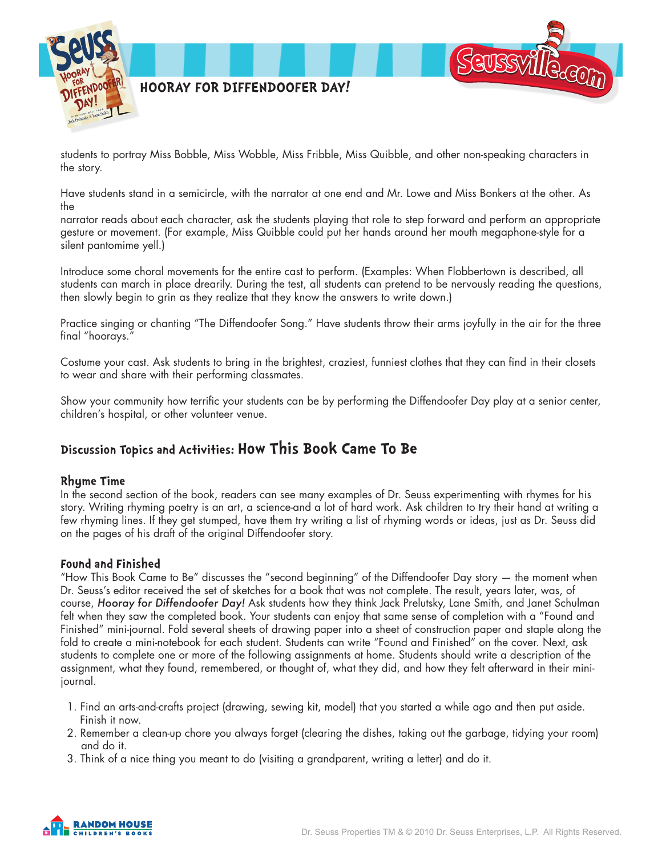

students to portray Miss Bobble, Miss Wobble, Miss Fribble, Miss Quibble, and other non-speaking characters in the story.

Have students stand in a semicircle, with the narrator at one end and Mr. Lowe and Miss Bonkers at the other. As the

narrator reads about each character, ask the students playing that role to step forward and perform an appropriate gesture or movement. (For example, Miss Quibble could put her hands around her mouth megaphone-style for a silent pantomime yell.)

Introduce some choral movements for the entire cast to perform. (Examples: When Flobbertown is described, all students can march in place drearily. During the test, all students can pretend to be nervously reading the questions, then slowly begin to grin as they realize that they know the answers to write down.)

Practice singing or chanting "The Diffendoofer Song." Have students throw their arms joyfully in the air for the three final "hoorays."

Costume your cast. Ask students to bring in the brightest, craziest, funniest clothes that they can find in their closets to wear and share with their performing classmates.

Show your community how terrific your students can be by performing the Diffendoofer Day play at a senior center, children's hospital, or other volunteer venue.

## **Discussion Topics and Activities: How This Book Came To Be**

#### **Rhyme Time**

In the second section of the book, readers can see many examples of Dr. Seuss experimenting with rhymes for his story. Writing rhyming poetry is an art, a science-and a lot of hard work. Ask children to try their hand at writing a few rhyming lines. If they get stumped, have them try writing a list of rhyming words or ideas, just as Dr. Seuss did on the pages of his draft of the original Diffendoofer story.

#### **Found and Finished**

"How This Book Came to Be" discusses the "second beginning" of the Diffendoofer Day story — the moment when Dr. Seuss's editor received the set of sketches for a book that was not complete. The result, years later, was, of course, *Hooray for Diffendoofer Day!* Ask students how they think Jack Prelutsky, Lane Smith, and Janet Schulman felt when they saw the completed book. Your students can enjoy that same sense of completion with a "Found and Finished" mini-journal. Fold several sheets of drawing paper into a sheet of construction paper and staple along the fold to create a mini-notebook for each student. Students can write "Found and Finished" on the cover. Next, ask students to complete one or more of the following assignments at home. Students should write a description of the assignment, what they found, remembered, or thought of, what they did, and how they felt afterward in their minijournal.

- 1. Find an arts-and-crafts project (drawing, sewing kit, model) that you started a while ago and then put aside. Finish it now.
- 2. Remember a clean-up chore you always forget (clearing the dishes, taking out the garbage, tidying your room) and do it.
- 3. Think of a nice thing you meant to do (visiting a grandparent, writing a letter) and do it.